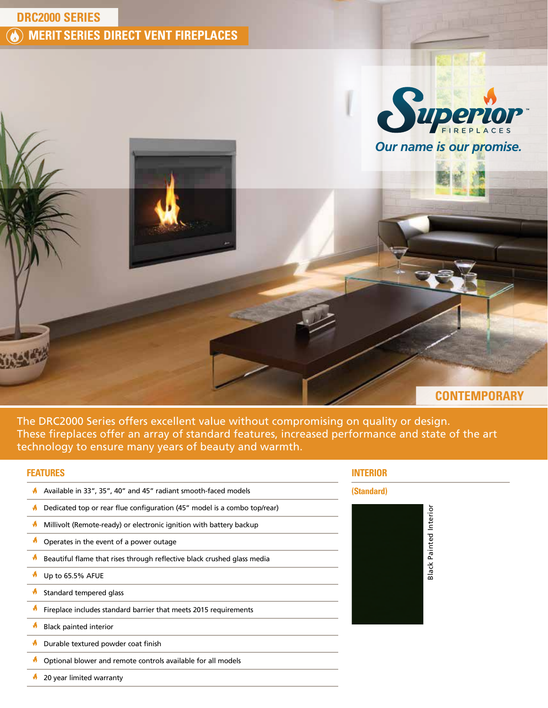





The DRC2000 Series offers excellent value without compromising on quality or design. These fireplaces offer an array of standard features, increased performance and state of the art technology to ensure many years of beauty and warmth.

# **FEATURES**

- A Available in 33", 35", 40" and 45" radiant smooth-faced models
- $\bigwedge$  Dedicated top or rear flue configuration (45" model is a combo top/rear)
- $\blacklozenge$ Millivolt (Remote-ready) or electronic ignition with battery backup
- $\bigwedge$  Operates in the event of a power outage
- $\pmb{\delta}$ Beautiful flame that rises through reflective black crushed glass media
- ø Up to 65.5% AFUE
- ø Standard tempered glass
- ø Fireplace includes standard barrier that meets 2015 requirements
- ø Black painted interior
- Ø Durable textured powder coat finish
- ø Optional blower and remote controls available for all models

ø 20 year limited warranty

# **INTERIOR**

## **(Standard)**